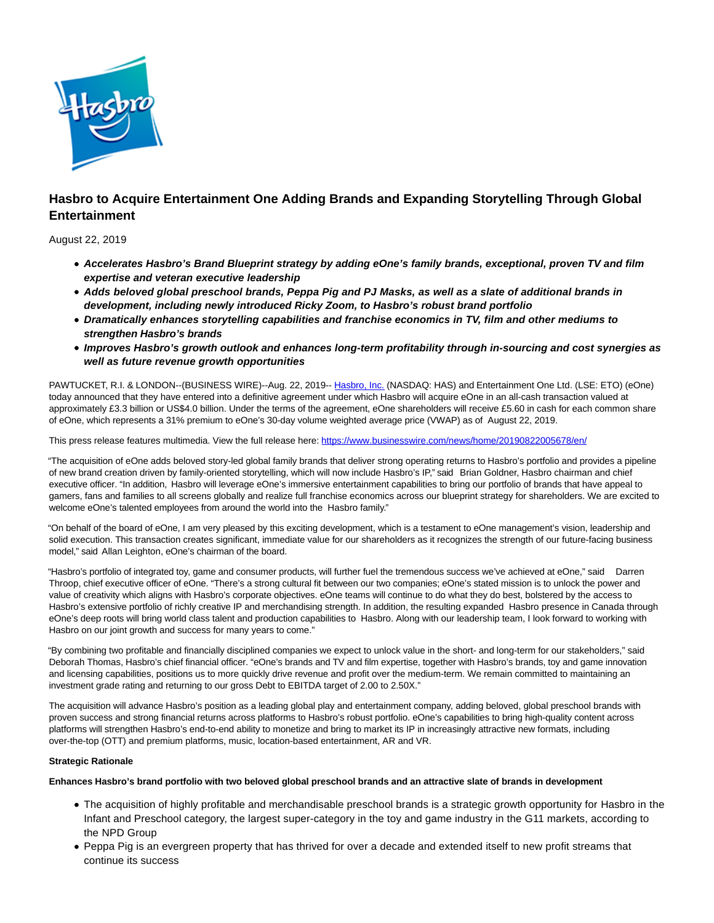

# **Hasbro to Acquire Entertainment One Adding Brands and Expanding Storytelling Through Global Entertainment**

August 22, 2019

- **Accelerates Hasbro's Brand Blueprint strategy by adding eOne's family brands, exceptional, proven TV and film expertise and veteran executive leadership**
- **Adds beloved global preschool brands, Peppa Pig and PJ Masks, as well as a slate of additional brands in development, including newly introduced Ricky Zoom, to Hasbro's robust brand portfolio**
- **Dramatically enhances storytelling capabilities and franchise economics in TV, film and other mediums to strengthen Hasbro's brands**
- **Improves Hasbro's growth outlook and enhances long-term profitability through in-sourcing and cost synergies as well as future revenue growth opportunities**

PAWTUCKET, R.I. & LONDON--(BUSINESS WIRE)--Aug. 22, 2019-- [Hasbro, Inc. \(](https://cts.businesswire.com/ct/CT?id=smartlink&url=http%3A%2F%2Fwww.hasbro.com%2F&esheet=52083095&newsitemid=20190822005678&lan=en-US&anchor=Hasbro%2C+Inc.&index=1&md5=5892f74642679ae7d30b14b1ab30d2d2)NASDAQ: HAS) and Entertainment One Ltd. (LSE: ETO) (eOne) today announced that they have entered into a definitive agreement under which Hasbro will acquire eOne in an all-cash transaction valued at approximately £3.3 billion or US\$4.0 billion. Under the terms of the agreement, eOne shareholders will receive £5.60 in cash for each common share of eOne, which represents a 31% premium to eOne's 30-day volume weighted average price (VWAP) as of August 22, 2019.

This press release features multimedia. View the full release here:<https://www.businesswire.com/news/home/20190822005678/en/>

"The acquisition of eOne adds beloved story-led global family brands that deliver strong operating returns to Hasbro's portfolio and provides a pipeline of new brand creation driven by family-oriented storytelling, which will now include Hasbro's IP," said Brian Goldner, Hasbro chairman and chief executive officer. "In addition, Hasbro will leverage eOne's immersive entertainment capabilities to bring our portfolio of brands that have appeal to gamers, fans and families to all screens globally and realize full franchise economics across our blueprint strategy for shareholders. We are excited to welcome eOne's talented employees from around the world into the Hasbro family."

"On behalf of the board of eOne, I am very pleased by this exciting development, which is a testament to eOne management's vision, leadership and solid execution. This transaction creates significant, immediate value for our shareholders as it recognizes the strength of our future-facing business model," said Allan Leighton, eOne's chairman of the board.

"Hasbro's portfolio of integrated toy, game and consumer products, will further fuel the tremendous success we've achieved at eOne," said Darren Throop, chief executive officer of eOne. "There's a strong cultural fit between our two companies; eOne's stated mission is to unlock the power and value of creativity which aligns with Hasbro's corporate objectives. eOne teams will continue to do what they do best, bolstered by the access to Hasbro's extensive portfolio of richly creative IP and merchandising strength. In addition, the resulting expanded Hasbro presence in Canada through eOne's deep roots will bring world class talent and production capabilities to Hasbro. Along with our leadership team, I look forward to working with Hasbro on our joint growth and success for many years to come."

"By combining two profitable and financially disciplined companies we expect to unlock value in the short- and long-term for our stakeholders," said Deborah Thomas, Hasbro's chief financial officer. "eOne's brands and TV and film expertise, together with Hasbro's brands, toy and game innovation and licensing capabilities, positions us to more quickly drive revenue and profit over the medium-term. We remain committed to maintaining an investment grade rating and returning to our gross Debt to EBITDA target of 2.00 to 2.50X."

The acquisition will advance Hasbro's position as a leading global play and entertainment company, adding beloved, global preschool brands with proven success and strong financial returns across platforms to Hasbro's robust portfolio. eOne's capabilities to bring high-quality content across platforms will strengthen Hasbro's end-to-end ability to monetize and bring to market its IP in increasingly attractive new formats, including over-the-top (OTT) and premium platforms, music, location-based entertainment, AR and VR.

# **Strategic Rationale**

**Enhances Hasbro's brand portfolio with two beloved global preschool brands and an attractive slate of brands in development**

- The acquisition of highly profitable and merchandisable preschool brands is a strategic growth opportunity for Hasbro in the Infant and Preschool category, the largest super-category in the toy and game industry in the G11 markets, according to the NPD Group
- Peppa Pig is an evergreen property that has thrived for over a decade and extended itself to new profit streams that continue its success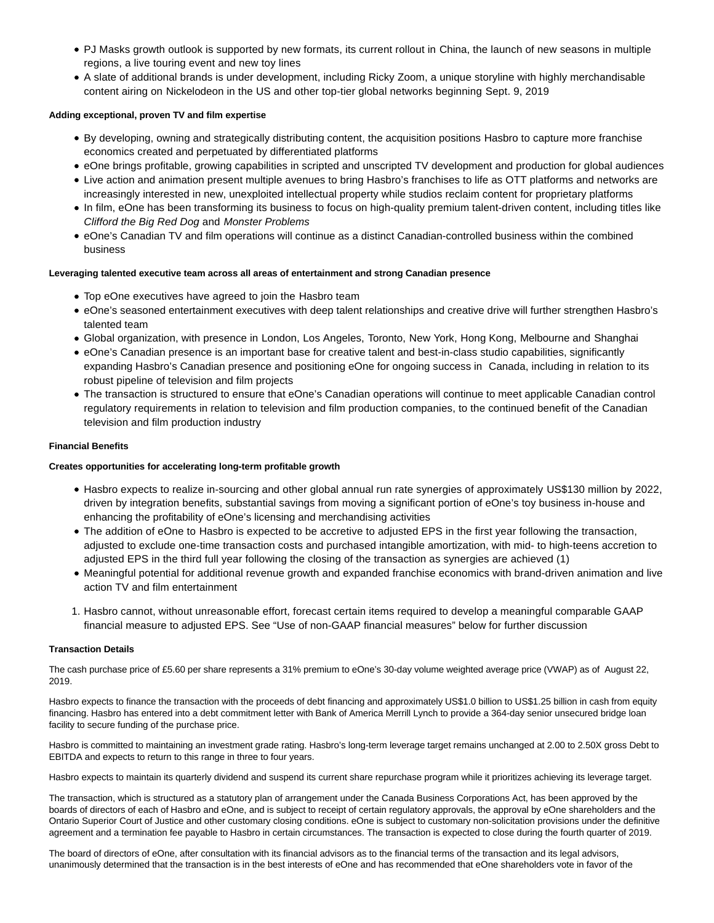- PJ Masks growth outlook is supported by new formats, its current rollout in China, the launch of new seasons in multiple regions, a live touring event and new toy lines
- A slate of additional brands is under development, including Ricky Zoom, a unique storyline with highly merchandisable content airing on Nickelodeon in the US and other top-tier global networks beginning Sept. 9, 2019

## **Adding exceptional, proven TV and film expertise**

- By developing, owning and strategically distributing content, the acquisition positions Hasbro to capture more franchise economics created and perpetuated by differentiated platforms
- eOne brings profitable, growing capabilities in scripted and unscripted TV development and production for global audiences
- Live action and animation present multiple avenues to bring Hasbro's franchises to life as OTT platforms and networks are increasingly interested in new, unexploited intellectual property while studios reclaim content for proprietary platforms
- In film, eOne has been transforming its business to focus on high-quality premium talent-driven content, including titles like Clifford the Big Red Dog and Monster Problems
- eOne's Canadian TV and film operations will continue as a distinct Canadian-controlled business within the combined business

## **Leveraging talented executive team across all areas of entertainment and strong Canadian presence**

- Top eOne executives have agreed to join the Hasbro team
- eOne's seasoned entertainment executives with deep talent relationships and creative drive will further strengthen Hasbro's talented team
- Global organization, with presence in London, Los Angeles, Toronto, New York, Hong Kong, Melbourne and Shanghai
- eOne's Canadian presence is an important base for creative talent and best-in-class studio capabilities, significantly expanding Hasbro's Canadian presence and positioning eOne for ongoing success in Canada, including in relation to its robust pipeline of television and film projects
- The transaction is structured to ensure that eOne's Canadian operations will continue to meet applicable Canadian control regulatory requirements in relation to television and film production companies, to the continued benefit of the Canadian television and film production industry

## **Financial Benefits**

# **Creates opportunities for accelerating long-term profitable growth**

- Hasbro expects to realize in-sourcing and other global annual run rate synergies of approximately US\$130 million by 2022, driven by integration benefits, substantial savings from moving a significant portion of eOne's toy business in-house and enhancing the profitability of eOne's licensing and merchandising activities
- The addition of eOne to Hasbro is expected to be accretive to adjusted EPS in the first year following the transaction, adjusted to exclude one-time transaction costs and purchased intangible amortization, with mid- to high-teens accretion to adjusted EPS in the third full year following the closing of the transaction as synergies are achieved (1)
- Meaningful potential for additional revenue growth and expanded franchise economics with brand-driven animation and live action TV and film entertainment
- 1. Hasbro cannot, without unreasonable effort, forecast certain items required to develop a meaningful comparable GAAP financial measure to adjusted EPS. See "Use of non-GAAP financial measures" below for further discussion

## **Transaction Details**

The cash purchase price of £5.60 per share represents a 31% premium to eOne's 30-day volume weighted average price (VWAP) as of August 22, 2019.

Hasbro expects to finance the transaction with the proceeds of debt financing and approximately US\$1.0 billion to US\$1.25 billion in cash from equity financing. Hasbro has entered into a debt commitment letter with Bank of America Merrill Lynch to provide a 364-day senior unsecured bridge loan facility to secure funding of the purchase price.

Hasbro is committed to maintaining an investment grade rating. Hasbro's long-term leverage target remains unchanged at 2.00 to 2.50X gross Debt to EBITDA and expects to return to this range in three to four years.

Hasbro expects to maintain its quarterly dividend and suspend its current share repurchase program while it prioritizes achieving its leverage target.

The transaction, which is structured as a statutory plan of arrangement under the Canada Business Corporations Act, has been approved by the boards of directors of each of Hasbro and eOne, and is subject to receipt of certain regulatory approvals, the approval by eOne shareholders and the Ontario Superior Court of Justice and other customary closing conditions. eOne is subject to customary non-solicitation provisions under the definitive agreement and a termination fee payable to Hasbro in certain circumstances. The transaction is expected to close during the fourth quarter of 2019.

The board of directors of eOne, after consultation with its financial advisors as to the financial terms of the transaction and its legal advisors, unanimously determined that the transaction is in the best interests of eOne and has recommended that eOne shareholders vote in favor of the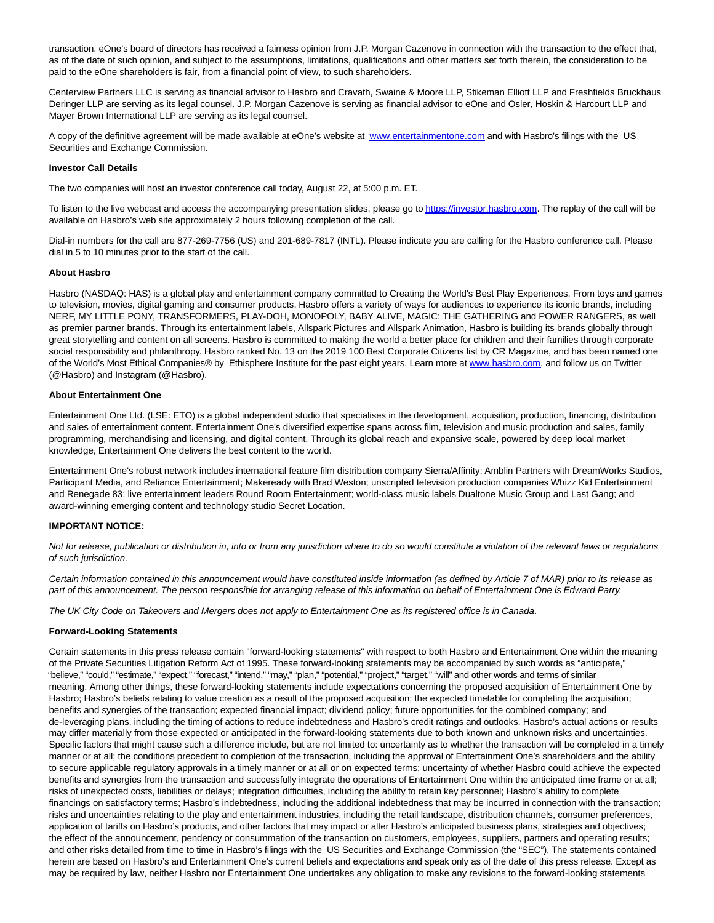transaction. eOne's board of directors has received a fairness opinion from J.P. Morgan Cazenove in connection with the transaction to the effect that, as of the date of such opinion, and subject to the assumptions, limitations, qualifications and other matters set forth therein, the consideration to be paid to the eOne shareholders is fair, from a financial point of view, to such shareholders.

Centerview Partners LLC is serving as financial advisor to Hasbro and Cravath, Swaine & Moore LLP, Stikeman Elliott LLP and Freshfields Bruckhaus Deringer LLP are serving as its legal counsel. J.P. Morgan Cazenove is serving as financial advisor to eOne and Osler, Hoskin & Harcourt LLP and Mayer Brown International LLP are serving as its legal counsel.

A copy of the definitive agreement will be made available at eOne's website at [www.entertainmentone.com a](https://cts.businesswire.com/ct/CT?id=smartlink&url=http%3A%2F%2Fwww.entertainmentone.com&esheet=52083095&newsitemid=20190822005678&lan=en-US&anchor=www.entertainmentone.com&index=2&md5=d31b86ba385978de39cb28030c114cee)nd with Hasbro's filings with the US Securities and Exchange Commission.

#### **Investor Call Details**

The two companies will host an investor conference call today, August 22, at 5:00 p.m. ET.

To listen to the live webcast and access the accompanying presentation slides, please go t[o https://investor.hasbro.com.](https://cts.businesswire.com/ct/CT?id=smartlink&url=https%3A%2F%2Finvestor.hasbro.com&esheet=52083095&newsitemid=20190822005678&lan=en-US&anchor=https%3A%2F%2Finvestor.hasbro.com&index=3&md5=cf32d46de43751bc348b85a1607904dc) The replay of the call will be available on Hasbro's web site approximately 2 hours following completion of the call.

Dial-in numbers for the call are 877-269-7756 (US) and 201-689-7817 (INTL). Please indicate you are calling for the Hasbro conference call. Please dial in 5 to 10 minutes prior to the start of the call.

#### **About Hasbro**

Hasbro (NASDAQ: HAS) is a global play and entertainment company committed to Creating the World's Best Play Experiences. From toys and games to television, movies, digital gaming and consumer products, Hasbro offers a variety of ways for audiences to experience its iconic brands, including NERF, MY LITTLE PONY, TRANSFORMERS, PLAY-DOH, MONOPOLY, BABY ALIVE, MAGIC: THE GATHERING and POWER RANGERS, as well as premier partner brands. Through its entertainment labels, Allspark Pictures and Allspark Animation, Hasbro is building its brands globally through great storytelling and content on all screens. Hasbro is committed to making the world a better place for children and their families through corporate social responsibility and philanthropy. Hasbro ranked No. 13 on the 2019 100 Best Corporate Citizens list by CR Magazine, and has been named one of the World's Most Ethical Companies® by Ethisphere Institute for the past eight years. Learn more at [www.hasbro.com,](https://cts.businesswire.com/ct/CT?id=smartlink&url=http%3A%2F%2Fwww.hasbro.com&esheet=52083095&newsitemid=20190822005678&lan=en-US&anchor=www.hasbro.com&index=4&md5=c40e126fa9398a82aac1cbaaa503c20d) and follow us on Twitter (@Hasbro) and Instagram (@Hasbro).

#### **About Entertainment One**

Entertainment One Ltd. (LSE: ETO) is a global independent studio that specialises in the development, acquisition, production, financing, distribution and sales of entertainment content. Entertainment One's diversified expertise spans across film, television and music production and sales, family programming, merchandising and licensing, and digital content. Through its global reach and expansive scale, powered by deep local market knowledge, Entertainment One delivers the best content to the world.

Entertainment One's robust network includes international feature film distribution company Sierra/Affinity; Amblin Partners with DreamWorks Studios, Participant Media, and Reliance Entertainment; Makeready with Brad Weston; unscripted television production companies Whizz Kid Entertainment and Renegade 83; live entertainment leaders Round Room Entertainment; world-class music labels Dualtone Music Group and Last Gang; and award-winning emerging content and technology studio Secret Location.

## **IMPORTANT NOTICE:**

Not for release, publication or distribution in, into or from any jurisdiction where to do so would constitute a violation of the relevant laws or requlations of such jurisdiction.

Certain information contained in this announcement would have constituted inside information (as defined by Article 7 of MAR) prior to its release as part of this announcement. The person responsible for arranging release of this information on behalf of Entertainment One is Edward Parry.

The UK City Code on Takeovers and Mergers does not apply to Entertainment One as its registered office is in Canada.

## **Forward-Looking Statements**

Certain statements in this press release contain "forward-looking statements" with respect to both Hasbro and Entertainment One within the meaning of the Private Securities Litigation Reform Act of 1995. These forward-looking statements may be accompanied by such words as "anticipate," "believe," "could," "estimate," "expect," "forecast," "intend," "may," "plan," "potential," "project," "target," "will" and other words and terms of similar meaning. Among other things, these forward-looking statements include expectations concerning the proposed acquisition of Entertainment One by Hasbro; Hasbro's beliefs relating to value creation as a result of the proposed acquisition; the expected timetable for completing the acquisition; benefits and synergies of the transaction; expected financial impact; dividend policy; future opportunities for the combined company; and de-leveraging plans, including the timing of actions to reduce indebtedness and Hasbro's credit ratings and outlooks. Hasbro's actual actions or results may differ materially from those expected or anticipated in the forward-looking statements due to both known and unknown risks and uncertainties. Specific factors that might cause such a difference include, but are not limited to: uncertainty as to whether the transaction will be completed in a timely manner or at all; the conditions precedent to completion of the transaction, including the approval of Entertainment One's shareholders and the ability to secure applicable regulatory approvals in a timely manner or at all or on expected terms; uncertainty of whether Hasbro could achieve the expected benefits and synergies from the transaction and successfully integrate the operations of Entertainment One within the anticipated time frame or at all; risks of unexpected costs, liabilities or delays; integration difficulties, including the ability to retain key personnel; Hasbro's ability to complete financings on satisfactory terms; Hasbro's indebtedness, including the additional indebtedness that may be incurred in connection with the transaction; risks and uncertainties relating to the play and entertainment industries, including the retail landscape, distribution channels, consumer preferences, application of tariffs on Hasbro's products, and other factors that may impact or alter Hasbro's anticipated business plans, strategies and objectives; the effect of the announcement, pendency or consummation of the transaction on customers, employees, suppliers, partners and operating results; and other risks detailed from time to time in Hasbro's filings with the US Securities and Exchange Commission (the "SEC"). The statements contained herein are based on Hasbro's and Entertainment One's current beliefs and expectations and speak only as of the date of this press release. Except as may be required by law, neither Hasbro nor Entertainment One undertakes any obligation to make any revisions to the forward-looking statements